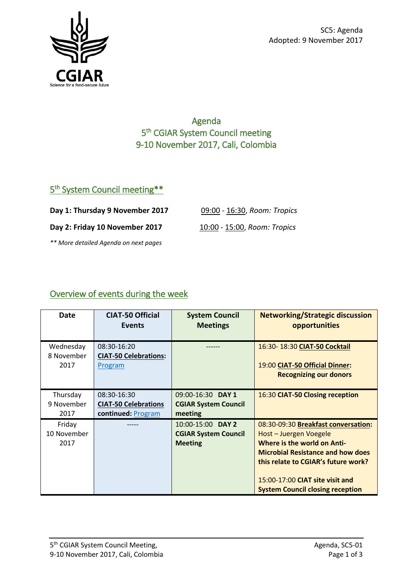

### Agenda 5<sup>th</sup> CGIAR System Council meeting 9-10 November 2017, Cali, Colombia

#### 5<sup>th</sup> System Council meeting\*\*

**Day 1: Thursday 9 November 2017** 09:00 - 16:30, *Room: Tropics*

**Day 2: Friday 10 November 2017** 10:00 - 15:00, *Room: Tropics*

*\*\* More detailed Agenda on next pages*

# Overview of events during the week

| Date                          | <b>CIAT-50 Official</b>      | <b>System Council</b>                                              | <b>Networking/Strategic discussion</b>                                                                                                                                                                                                                               |
|-------------------------------|------------------------------|--------------------------------------------------------------------|----------------------------------------------------------------------------------------------------------------------------------------------------------------------------------------------------------------------------------------------------------------------|
|                               | Events                       | <b>Meetings</b>                                                    | opportunities                                                                                                                                                                                                                                                        |
| Wednesday                     | 08:30-16:20                  |                                                                    | 16:30-18:30 CIAT-50 Cocktail                                                                                                                                                                                                                                         |
| 8 November                    | <b>CIAT-50 Celebrations:</b> |                                                                    | 19:00 CIAT-50 Official Dinner:                                                                                                                                                                                                                                       |
| 2017                          | Program                      |                                                                    | <b>Recognizing our donors</b>                                                                                                                                                                                                                                        |
| Thursday                      | 08:30-16:30                  | 09:00-16:30 DAY 1                                                  | 16:30 CIAT-50 Closing reception                                                                                                                                                                                                                                      |
| 9 November                    | <b>CIAT-50 Celebrations</b>  | <b>CGIAR System Council</b>                                        |                                                                                                                                                                                                                                                                      |
| 2017                          | continued: Program           | meeting                                                            |                                                                                                                                                                                                                                                                      |
| Friday<br>10 November<br>2017 |                              | 10:00-15:00 DAY 2<br><b>CGIAR System Council</b><br><b>Meeting</b> | 08:30-09:30 Breakfast conversation:<br>Host - Juergen Voegele<br><b>Where is the world on Anti-</b><br><b>Microbial Resistance and how does</b><br>this relate to CGIAR's future work?<br>15:00-17:00 CIAT site visit and<br><b>System Council closing reception</b> |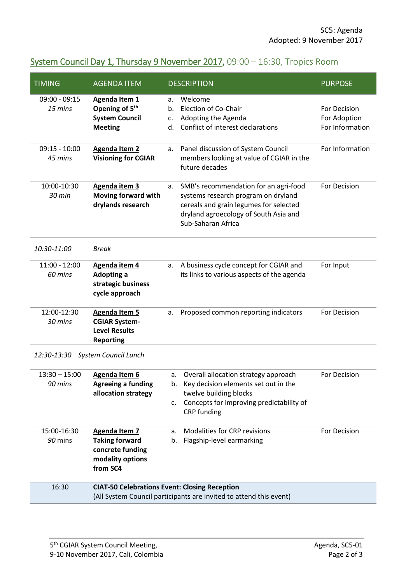# System Council Day 1, Thursday 9 November 2017, 09:00 - 16:30, Tropics Room

| <b>TIMING</b>                       | <b>AGENDA ITEM</b>                                                                                | <b>DESCRIPTION</b>                                                                                                                                                                          | <b>PURPOSE</b>                                  |  |
|-------------------------------------|---------------------------------------------------------------------------------------------------|---------------------------------------------------------------------------------------------------------------------------------------------------------------------------------------------|-------------------------------------------------|--|
| $09:00 - 09:15$<br>15 mins          | Agenda Item 1<br>Opening of 5 <sup>th</sup><br><b>System Council</b><br><b>Meeting</b>            | Welcome<br>a.<br>Election of Co-Chair<br>b.<br>Adopting the Agenda<br>c.<br>Conflict of interest declarations<br>d.                                                                         | For Decision<br>For Adoption<br>For Information |  |
| $09:15 - 10:00$<br>45 mins          | <b>Agenda Item 2</b><br><b>Visioning for CGIAR</b>                                                | Panel discussion of System Council<br>a.<br>members looking at value of CGIAR in the<br>future decades                                                                                      | For Information                                 |  |
| 10:00-10:30<br>30 min               | Agenda item 3<br>Moving forward with<br>drylands research                                         | SMB's recommendation for an agri-food<br>a.<br>systems research program on dryland<br>cereals and grain legumes for selected<br>dryland agroecology of South Asia and<br>Sub-Saharan Africa | For Decision                                    |  |
| 10:30-11:00                         | <b>Break</b>                                                                                      |                                                                                                                                                                                             |                                                 |  |
| $11:00 - 12:00$<br>60 mins          | Agenda item 4<br>Adopting a<br>strategic business<br>cycle approach                               | A business cycle concept for CGIAR and<br>a.<br>its links to various aspects of the agenda                                                                                                  | For Input                                       |  |
| 12:00-12:30<br>30 mins              | <b>Agenda Item 5</b><br><b>CGIAR System-</b><br><b>Level Results</b><br><b>Reporting</b>          | Proposed common reporting indicators<br>a.                                                                                                                                                  | For Decision                                    |  |
| 12:30-13:30<br>System Council Lunch |                                                                                                   |                                                                                                                                                                                             |                                                 |  |
| $13:30 - 15:00$<br>90 mins          | Agenda Item 6<br><b>Agreeing a funding</b><br>allocation strategy                                 | Overall allocation strategy approach<br>а.<br>Key decision elements set out in the<br>b.<br>twelve building blocks<br>Concepts for improving predictability of<br>c.<br>CRP funding         | For Decision                                    |  |
| 15:00-16:30<br>90 mins              | <b>Agenda Item 7</b><br><b>Taking forward</b><br>concrete funding<br>modality options<br>from SC4 | Modalities for CRP revisions<br>a.<br>Flagship-level earmarking<br>b.                                                                                                                       | For Decision                                    |  |
| 16:30                               |                                                                                                   | <b>CIAT-50 Celebrations Event: Closing Reception</b><br>(All System Council participants are invited to attend this event)                                                                  |                                                 |  |